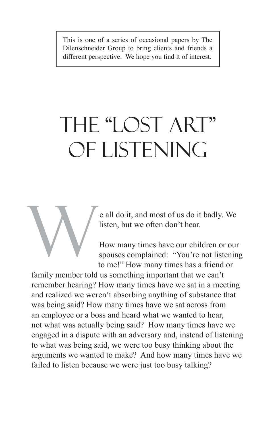This is one of a series of occasional papers by The Dilenschneider Group to bring clients and friends a different perspective. We hope you find it of interest.

# THE "LOST ART" OF LISTENING

e all do it, and most of us do it badly. We listen, but we often don't hear.

How many times have our children or our spouses complained: "You're not listening to me!" How many times has a friend or

family member told us something important that we can't remember hearing? How many times have we sat in a meeting and realized we weren't absorbing anything of substance that was being said? How many times have we sat across from an employee or a boss and heard what we wanted to hear, not what was actually being said? How many times have we engaged in a dispute with an adversary and, instead of listening to what was being said, we were too busy thinking about the arguments we wanted to make? And how many times have we failed to listen because we were just too busy talking? W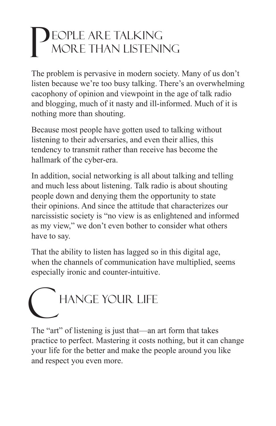#### eople are talking more than listening P

The problem is pervasive in modern society. Many of us don't listen because we're too busy talking. There's an overwhelming cacophony of opinion and viewpoint in the age of talk radio and blogging, much of it nasty and ill-informed. Much of it is nothing more than shouting.

Because most people have gotten used to talking without listening to their adversaries, and even their allies, this tendency to transmit rather than receive has become the hallmark of the cyber-era.

In addition, social networking is all about talking and telling and much less about listening. Talk radio is about shouting people down and denying them the opportunity to state their opinions. And since the attitude that characterizes our narcissistic society is "no view is as enlightened and informed as my view," we don't even bother to consider what others have to say.

That the ability to listen has lagged so in this digital age, when the channels of communication have multiplied, seems especially ironic and counter-intuitive.



The "art" of listening is just that—an art form that takes practice to perfect. Mastering it costs nothing, but it can change your life for the better and make the people around you like and respect you even more.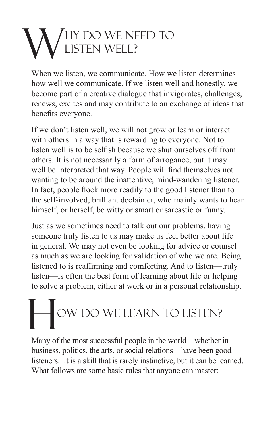### hy do we need to listen well? W

When we listen, we communicate. How we listen determines how well we communicate. If we listen well and honestly, we become part of a creative dialogue that invigorates, challenges, renews, excites and may contribute to an exchange of ideas that benefits everyone.

If we don't listen well, we will not grow or learn or interact with others in a way that is rewarding to everyone. Not to listen well is to be selfish because we shut ourselves off from others. It is not necessarily a form of arrogance, but it may well be interpreted that way. People will find themselves not wanting to be around the inattentive, mind-wandering listener. In fact, people flock more readily to the good listener than to the self-involved, brilliant declaimer, who mainly wants to hear himself, or herself, be witty or smart or sarcastic or funny.

Just as we sometimes need to talk out our problems, having someone truly listen to us may make us feel better about life in general. We may not even be looking for advice or counsel as much as we are looking for validation of who we are. Being listened to is reaffirming and comforting. And to listen—truly listen—is often the best form of learning about life or helping to solve a problem, either at work or in a personal relationship.

## ow Do We Learn to Listen? H

Many of the most successful people in the world—whether in business, politics, the arts, or social relations—have been good listeners. It is a skill that is rarely instinctive, but it can be learned. What follows are some basic rules that anyone can master: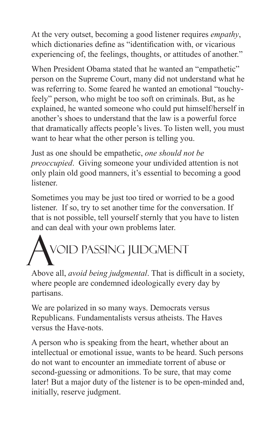At the very outset, becoming a good listener requires *empathy*, which dictionaries define as "identification with, or vicarious experiencing of, the feelings, thoughts, or attitudes of another."

When President Obama stated that he wanted an "empathetic" person on the Supreme Court, many did not understand what he was referring to. Some feared he wanted an emotional "touchyfeely" person, who might be too soft on criminals. But, as he explained, he wanted someone who could put himself/herself in another's shoes to understand that the law is a powerful force that dramatically affects people's lives. To listen well, you must want to hear what the other person is telling you.

Just as one should be empathetic, *one should not be preoccupied*. Giving someone your undivided attention is not only plain old good manners, it's essential to becoming a good listener.

Sometimes you may be just too tired or worried to be a good listener. If so, try to set another time for the conversation. If that is not possible, tell yourself sternly that you have to listen and can deal with your own problems later.

## void passing judgment A VOID PASSING JUDGMENT<br>Above all, *avoid being judgmental*. That is difficult in a society,

where people are condemned ideologically every day by partisans.

We are polarized in so many ways. Democrats versus Republicans. Fundamentalists versus atheists. The Haves versus the Have-nots.

A person who is speaking from the heart, whether about an intellectual or emotional issue, wants to be heard. Such persons do not want to encounter an immediate torrent of abuse or second-guessing or admonitions. To be sure, that may come later! But a major duty of the listener is to be open-minded and, initially, reserve judgment.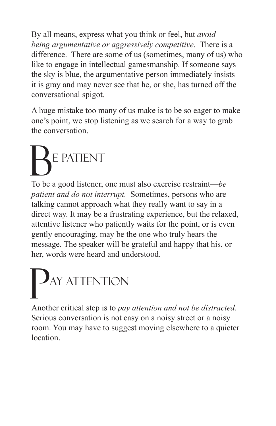By all means, express what you think or feel, but *avoid being argumentative or aggressively competitive*. There is a difference. There are some of us (sometimes, many of us) who like to engage in intellectual gamesmanship. If someone says the sky is blue, the argumentative person immediately insists it is gray and may never see that he, or she, has turned off the conversational spigot.

A huge mistake too many of us make is to be so eager to make one's point, we stop listening as we search for a way to grab the conversation.

## e Patient B

To be a good listener, one must also exercise restraint—*be patient and do not interrupt.* Sometimes, persons who are talking cannot approach what they really want to say in a direct way. It may be a frustrating experience, but the relaxed, attentive listener who patiently waits for the point, or is even gently encouraging, may be the one who truly hears the message. The speaker will be grateful and happy that his, or her, words were heard and understood.

## ay Attention P

Another critical step is to *pay attention and not be distracted*. Serious conversation is not easy on a noisy street or a noisy room. You may have to suggest moving elsewhere to a quieter location.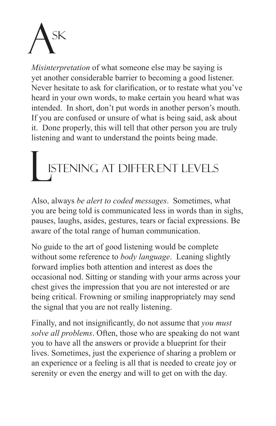

*Misinterpretation* of what someone else may be saying is yet another considerable barrier to becoming a good listener. Never hesitate to ask for clarification, or to restate what you've heard in your own words, to make certain you heard what was intended. In short, don't put words in another person's mouth. If you are confused or unsure of what is being said, ask about it. Done properly, this will tell that other person you are truly listening and want to understand the points being made.

## istening at different levels L

Also, always *be alert to coded messages*. Sometimes, what you are being told is communicated less in words than in sighs, pauses, laughs, asides, gestures, tears or facial expressions. Be aware of the total range of human communication.

No guide to the art of good listening would be complete without some reference to *body language*. Leaning slightly forward implies both attention and interest as does the occasional nod. Sitting or standing with your arms across your chest gives the impression that you are not interested or are being critical. Frowning or smiling inappropriately may send the signal that you are not really listening.

Finally, and not insignificantly, do not assume that *you must solve all problems*. Often, those who are speaking do not want you to have all the answers or provide a blueprint for their lives. Sometimes, just the experience of sharing a problem or an experience or a feeling is all that is needed to create joy or serenity or even the energy and will to get on with the day.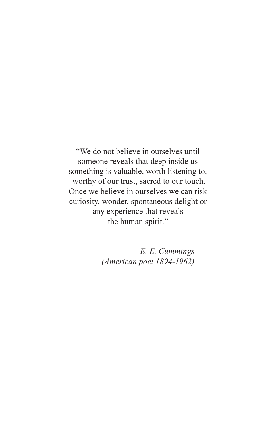"We do not believe in ourselves until someone reveals that deep inside us something is valuable, worth listening to, worthy of our trust, sacred to our touch. Once we believe in ourselves we can risk curiosity, wonder, spontaneous delight or any experience that reveals the human spirit."

> *– E. E. Cummings (American poet 1894-1962)*